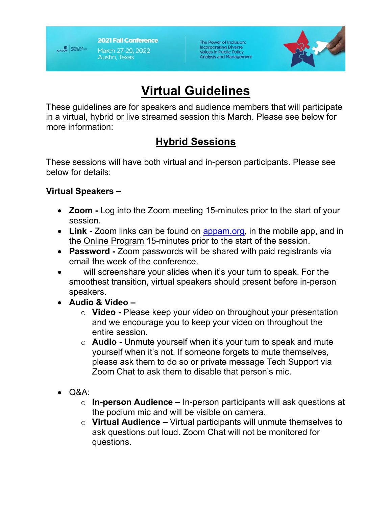**2021 Fall Conference** March 27-29, 2022 Austin, Texas

The Power of Inclusion: **Incorporating Diverse Voices in Public Policy<br>Analysis and Management** 



# **Virtual Guidelines**

These guidelines are for speakers and audience members that will participate in a virtual, hybrid or live streamed session this March. Please see below for more information:

# **Hybrid Sessions**

These sessions will have both virtual and in-person participants. Please see below for details:

# **Virtual Speakers –**

APPAM

- **Zoom -** Log into the Zoom meeting 15-minutes prior to the start of your session.
- **Link -** Zoom links can be found on [appam.org,](https://www.appam.org/conference-events/fall-research-conference/2021-fall-research-conference-zoom-links/) in the mobile app, and in the [Online Program](https://appam.confex.com/appam/2021/meetingapp.cgi?password=*cookie) 15-minutes prior to the start of the session.
- **Password -** Zoom passwords will be shared with paid registrants via email the week of the conference.
- will screenshare your slides when it's your turn to speak. For the smoothest transition, virtual speakers should present before in-person speakers.
- **Audio & Video –**
	- o **Video -** Please keep your video on throughout your presentation and we encourage you to keep your video on throughout the entire session.
	- o **Audio -** Unmute yourself when it's your turn to speak and mute yourself when it's not. If someone forgets to mute themselves, please ask them to do so or private message Tech Support via Zoom Chat to ask them to disable that person's mic.
- $\bullet$   $QRA$ :
	- o **In-person Audience –** In-person participants will ask questions at the podium mic and will be visible on camera.
	- o **Virtual Audience –** Virtual participants will unmute themselves to ask questions out loud. Zoom Chat will not be monitored for questions.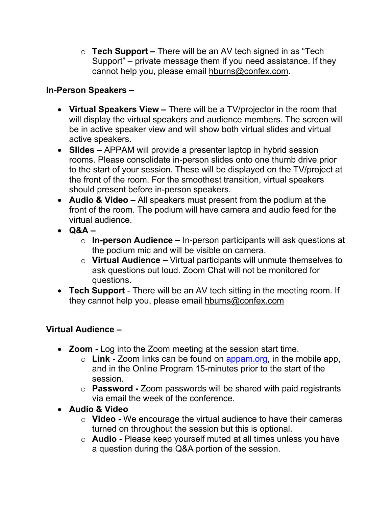o **Tech Support –** There will be an AV tech signed in as "Tech Support" – private message them if you need assistance. If they cannot help you, please email [hburns@confex.com.](mailto:hburns@confex.com)

### **In-Person Speakers –**

- **Virtual Speakers View –** There will be a TV/projector in the room that will display the virtual speakers and audience members. The screen will be in active speaker view and will show both virtual slides and virtual active speakers.
- **Slides –** APPAM will provide a presenter laptop in hybrid session rooms. Please consolidate in-person slides onto one thumb drive prior to the start of your session. These will be displayed on the TV/project at the front of the room. For the smoothest transition, virtual speakers should present before in-person speakers.
- **Audio & Video –** All speakers must present from the podium at the front of the room. The podium will have camera and audio feed for the virtual audience.
- **Q&A –**
	- o **In-person Audience –** In-person participants will ask questions at the podium mic and will be visible on camera.
	- o **Virtual Audience –** Virtual participants will unmute themselves to ask questions out loud. Zoom Chat will not be monitored for questions.
- **Tech Support** There will be an AV tech sitting in the meeting room. If they cannot help you, please email [hburns@confex.com](mailto:hburns@confex.com)

# **Virtual Audience –**

- **Zoom -** Log into the Zoom meeting at the session start time.
	- o **Link -** Zoom links can be found on [appam.org,](https://www.appam.org/conference-events/fall-research-conference/2021-fall-research-conference-zoom-links/) in the mobile app, and in the [Online Program](https://appam.confex.com/appam/2021/meetingapp.cgi?password=*cookie) 15-minutes prior to the start of the session.
	- o **Password -** Zoom passwords will be shared with paid registrants via email the week of the conference.
- **Audio & Video** 
	- o **Video -** We encourage the virtual audience to have their cameras turned on throughout the session but this is optional.
	- o **Audio -** Please keep yourself muted at all times unless you have a question during the Q&A portion of the session.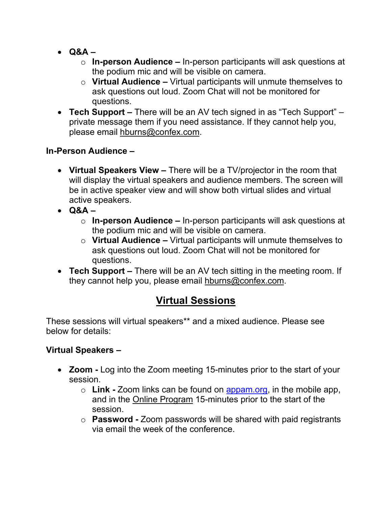- **Q&A –**
	- o **In-person Audience –** In-person participants will ask questions at the podium mic and will be visible on camera.
	- o **Virtual Audience –** Virtual participants will unmute themselves to ask questions out loud. Zoom Chat will not be monitored for questions.
- **Tech Support –** There will be an AV tech signed in as "Tech Support" private message them if you need assistance. If they cannot help you, please email [hburns@confex.com.](mailto:hburns@confex.com)

# **In-Person Audience –**

- **Virtual Speakers View –** There will be a TV/projector in the room that will display the virtual speakers and audience members. The screen will be in active speaker view and will show both virtual slides and virtual active speakers.
- **Q&A –**
	- o **In-person Audience –** In-person participants will ask questions at the podium mic and will be visible on camera.
	- o **Virtual Audience –** Virtual participants will unmute themselves to ask questions out loud. Zoom Chat will not be monitored for questions.
- **Tech Support –** There will be an AV tech sitting in the meeting room. If they cannot help you, please email [hburns@confex.com.](mailto:hburns@confex.com)

# **Virtual Sessions**

These sessions will virtual speakers\*\* and a mixed audience. Please see below for details:

#### **Virtual Speakers –**

- **Zoom -** Log into the Zoom meeting 15-minutes prior to the start of your session.
	- o **Link -** Zoom links can be found on [appam.org,](https://www.appam.org/conference-events/fall-research-conference/2021-fall-research-conference-zoom-links/) in the mobile app, and in the [Online Program](https://appam.confex.com/appam/2021/meetingapp.cgi?password=*cookie) 15-minutes prior to the start of the session.
	- o **Password -** Zoom passwords will be shared with paid registrants via email the week of the conference.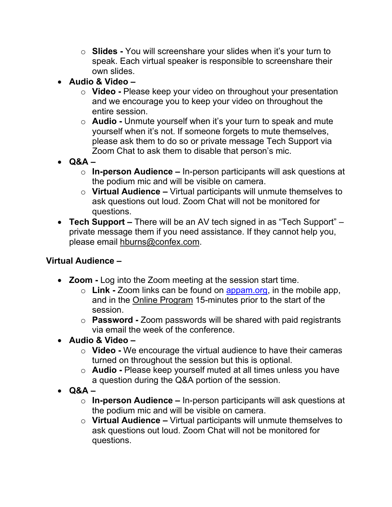- o **Slides -** You will screenshare your slides when it's your turn to speak. Each virtual speaker is responsible to screenshare their own slides.
- **Audio & Video –**
	- o **Video -** Please keep your video on throughout your presentation and we encourage you to keep your video on throughout the entire session.
	- o **Audio -** Unmute yourself when it's your turn to speak and mute yourself when it's not. If someone forgets to mute themselves, please ask them to do so or private message Tech Support via Zoom Chat to ask them to disable that person's mic.
- **Q&A –**
	- o **In-person Audience –** In-person participants will ask questions at the podium mic and will be visible on camera.
	- o **Virtual Audience –** Virtual participants will unmute themselves to ask questions out loud. Zoom Chat will not be monitored for questions.
- **Tech Support –** There will be an AV tech signed in as "Tech Support" private message them if you need assistance. If they cannot help you, please email [hburns@confex.com.](mailto:hburns@confex.com)

# **Virtual Audience –**

- **Zoom -** Log into the Zoom meeting at the session start time.
	- o **Link -** Zoom links can be found on [appam.org,](https://www.appam.org/conference-events/fall-research-conference/2021-fall-research-conference-zoom-links/) in the mobile app, and in the [Online Program](https://appam.confex.com/appam/2021/meetingapp.cgi?password=*cookie) 15-minutes prior to the start of the session.
	- o **Password -** Zoom passwords will be shared with paid registrants via email the week of the conference.
- **Audio & Video –**
	- o **Video -** We encourage the virtual audience to have their cameras turned on throughout the session but this is optional.
	- o **Audio -** Please keep yourself muted at all times unless you have a question during the Q&A portion of the session.
- **Q&A –**
	- o **In-person Audience –** In-person participants will ask questions at the podium mic and will be visible on camera.
	- o **Virtual Audience –** Virtual participants will unmute themselves to ask questions out loud. Zoom Chat will not be monitored for questions.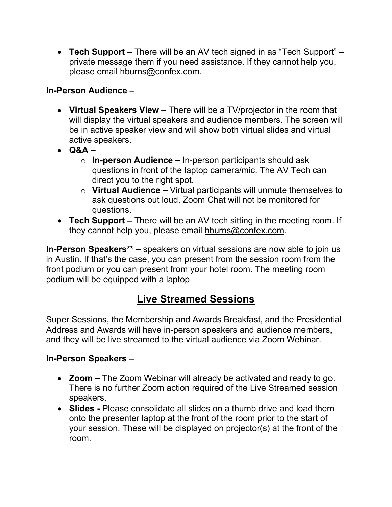• **Tech Support –** There will be an AV tech signed in as "Tech Support" – private message them if you need assistance. If they cannot help you, please email [hburns@confex.com.](mailto:hburns@confex.com)

### **In-Person Audience –**

- **Virtual Speakers View –** There will be a TV/projector in the room that will display the virtual speakers and audience members. The screen will be in active speaker view and will show both virtual slides and virtual active speakers.
- **Q&A –**
	- o **In-person Audience –** In-person participants should ask questions in front of the laptop camera/mic. The AV Tech can direct you to the right spot.
	- o **Virtual Audience –** Virtual participants will unmute themselves to ask questions out loud. Zoom Chat will not be monitored for questions.
- **Tech Support –** There will be an AV tech sitting in the meeting room. If they cannot help you, please email [hburns@confex.com.](mailto:hburns@confex.com)

**In-Person Speakers\*\* –** speakers on virtual sessions are now able to join us in Austin. If that's the case, you can present from the session room from the front podium or you can present from your hotel room. The meeting room podium will be equipped with a laptop

# **Live Streamed Sessions**

Super Sessions, the Membership and Awards Breakfast, and the Presidential Address and Awards will have in-person speakers and audience members, and they will be live streamed to the virtual audience via Zoom Webinar.

# **In-Person Speakers –**

- **Zoom –** The Zoom Webinar will already be activated and ready to go. There is no further Zoom action required of the Live Streamed session speakers.
- **Slides -** Please consolidate all slides on a thumb drive and load them onto the presenter laptop at the front of the room prior to the start of your session. These will be displayed on projector(s) at the front of the room.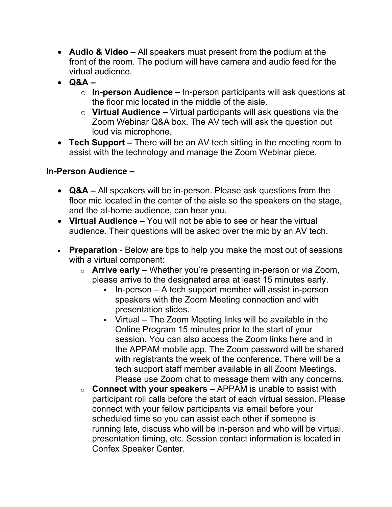- **Audio & Video –** All speakers must present from the podium at the front of the room. The podium will have camera and audio feed for the virtual audience.
- **Q&A –**
	- o **In-person Audience –** In-person participants will ask questions at the floor mic located in the middle of the aisle.
	- o **Virtual Audience –** Virtual participants will ask questions via the Zoom Webinar Q&A box. The AV tech will ask the question out loud via microphone.
- **Tech Support –** There will be an AV tech sitting in the meeting room to assist with the technology and manage the Zoom Webinar piece.

# **In-Person Audience –**

- **Q&A –** All speakers will be in-person. Please ask questions from the floor mic located in the center of the aisle so the speakers on the stage, and the at-home audience, can hear you.
- **Virtual Audience –** You will not be able to see or hear the virtual audience. Their questions will be asked over the mic by an AV tech.
- **Preparation -** Below are tips to help you make the most out of sessions with a virtual component:
	- <sup>o</sup> **Arrive early** Whether you're presenting in-person or via Zoom, please arrive to the designated area at least 15 minutes early.
		- In-person A tech support member will assist in-person speakers with the Zoom Meeting connection and with presentation slides.
		- Virtual The Zoom Meeting links will be available in the Online Program 15 minutes prior to the start of your session. You can also access the Zoom links here and in the APPAM mobile app. The Zoom password will be shared with registrants the week of the conference. There will be a tech support staff member available in all Zoom Meetings. Please use Zoom chat to message them with any concerns.
	- <sup>o</sup> **Connect with your speakers** APPAM is unable to assist with participant roll calls before the start of each virtual session. Please connect with your fellow participants via email before your scheduled time so you can assist each other if someone is running late, discuss who will be in-person and who will be virtual, presentation timing, etc. Session contact information is located in Confex Speaker Center.